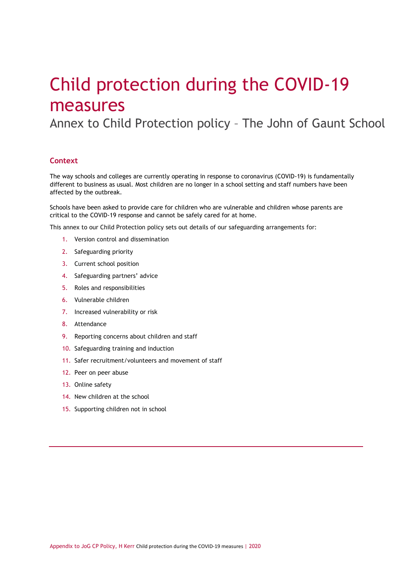# Child protection during the COVID-19 measures

Annex to Child Protection policy – The John of Gaunt School

## **Context**

The way schools and colleges are currently operating in response to coronavirus (COVID-19) is fundamentally different to business as usual. Most children are no longer in a school setting and staff numbers have been affected by the outbreak.

Schools have been asked to provide care for children who are vulnerable and children whose parents are critical to the COVID-19 response and cannot be safely cared for at home.

This annex to our Child Protection policy sets out details of our safeguarding arrangements for:

- 1. Version control and dissemination
- 2. Safeguarding priority
- 3. Current school position
- 4. Safeguarding partners' advice
- 5. Roles and responsibilities
- 6. Vulnerable children
- 7. Increased vulnerability or risk
- 8. Attendance
- 9. Reporting concerns about children and staff
- 10. Safeguarding training and induction
- 11. Safer recruitment/volunteers and movement of staff
- 12. Peer on peer abuse
- 13. Online safety
- 14. New children at the school
- 15. Supporting children not in school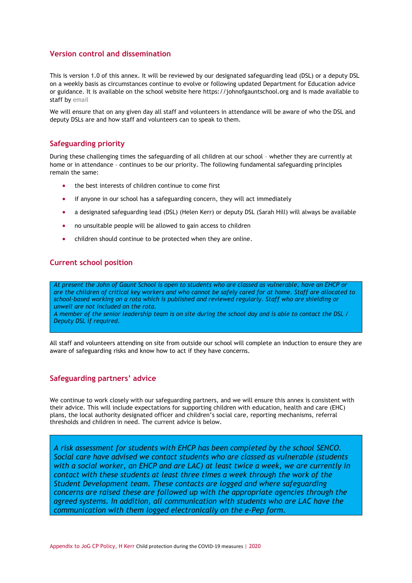# **Version control and dissemination**

This is version 1.0 of this annex. It will be reviewed by our designated safeguarding lead (DSL) or a deputy DSL on a weekly basis as circumstances continue to evolve or following updated Department for Education advice or guidance. It is available on the school website here https://johnofgauntschool.org and is made available to staff by email

We will ensure that on any given day all staff and volunteers in attendance will be aware of who the DSL and deputy DSLs are and how staff and volunteers can to speak to them.

## **Safeguarding priority**

During these challenging times the safeguarding of all children at our school – whether they are currently at home or in attendance – continues to be our priority. The following fundamental safeguarding principles remain the same:

- the best interests of children continue to come first
- if anyone in our school has a safeguarding concern, they will act immediately
- a designated safeguarding lead (DSL) (Helen Kerr) or deputy DSL (Sarah Hill) will always be available
- no unsuitable people will be allowed to gain access to children
- children should continue to be protected when they are online.

## **Current school position**

*At present the John of Gaunt School is open to students who are classed as vulnerable, have an EHCP or are the children of critical key workers and who cannot be safely cared for at home. Staff are allocated to school-based working on a rota which is published and reviewed regularly. Staff who are shielding or unwell are not included on the rota.* 

*A member of the senior leadership team is on site during the school day and is able to contact the DSL / Deputy DSL if required.* 

All staff and volunteers attending on site from outside our school will complete an induction to ensure they are aware of safeguarding risks and know how to act if they have concerns.

## **Safeguarding partners' advice**

We continue to work closely with our safeguarding partners, and we will ensure this annex is consistent with their advice. This will include expectations for supporting children with education, health and care (EHC) plans, the local authority designated officer and children's social care, reporting mechanisms, referral thresholds and children in need. The current advice is below.

*A risk assessment for students with EHCP has been completed by the school SENCO. Social care have advised we contact students who are classed as vulnerable (students with a social worker, an EHCP and are LAC) at least twice a week, we are currently in contact with these students at least three times a week through the work of the Student Development team. These contacts are logged and where safeguarding concerns are raised these are followed up with the appropriate agencies through the agreed systems. In addition, all communication with students who are LAC have the communication with them logged electronically on the e-Pep form.*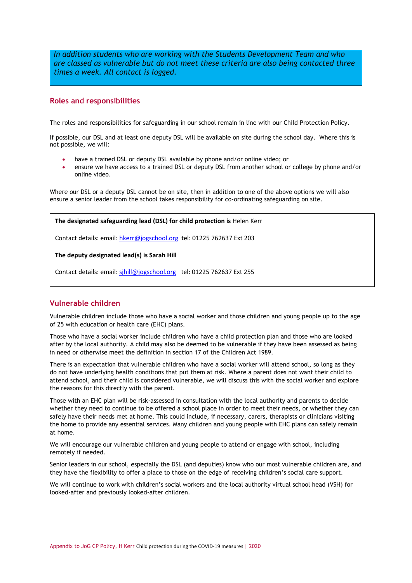*In addition students who are working with the Students Development Team and who are classed as vulnerable but do not meet these criteria are also being contacted three times a week. All contact is logged.* 

## **Roles and responsibilities**

The roles and responsibilities for safeguarding in our school remain in line with our Child Protection Policy.

If possible, our DSL and at least one deputy DSL will be available on site during the school day. Where this is not possible, we will:

- have a trained DSL or deputy DSL available by phone and/or online video; or
- ensure we have access to a trained DSL or deputy DSL from another school or college by phone and/or online video.

Where our DSL or a deputy DSL cannot be on site, then in addition to one of the above options we will also ensure a senior leader from the school takes responsibility for co-ordinating safeguarding on site.

#### **The designated safeguarding lead (DSL) for child protection is** Helen Kerr

Contact details: email[: hkerr@jogschool.org](mailto:hkerr@jogschool.org) tel: 01225 762637 Ext 203

#### **The deputy designated lead(s) is Sarah Hill**

Contact details: email[: sjhill@jogschool.org](mailto:sjhill@jogschool.org) tel: 01225 762637 Ext 255

# **Vulnerable children**

Vulnerable children include those who have a social worker and those children and young people up to the age of 25 with education or health care (EHC) plans.

Those who have a social worker include children who have a child protection plan and those who are looked after by the local authority. A child may also be deemed to be vulnerable if they have been assessed as being in need or otherwise meet the definition in section 17 of the Children Act 1989.

There is an expectation that vulnerable children who have a social worker will attend school, so long as they do not have underlying health conditions that put them at risk. Where a parent does not want their child to attend school, and their child is considered vulnerable, we will discuss this with the social worker and explore the reasons for this directly with the parent.

Those with an EHC plan will be risk-assessed in consultation with the local authority and parents to decide whether they need to continue to be offered a school place in order to meet their needs, or whether they can safely have their needs met at home. This could include, if necessary, carers, therapists or clinicians visiting the home to provide any essential services. Many children and young people with EHC plans can safely remain at home.

We will encourage our vulnerable children and young people to attend or engage with school, including remotely if needed.

Senior leaders in our school, especially the DSL (and deputies) know who our most vulnerable children are, and they have the flexibility to offer a place to those on the edge of receiving children's social care support.

We will continue to work with children's social workers and the local authority virtual school head (VSH) for looked-after and previously looked-after children.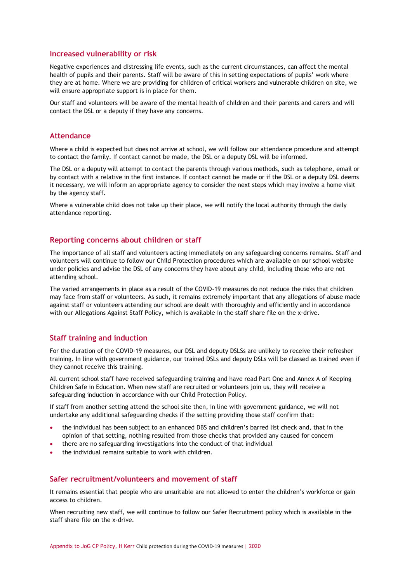#### **Increased vulnerability or risk**

Negative experiences and distressing life events, such as the current circumstances, can affect the mental health of pupils and their parents. Staff will be aware of this in setting expectations of pupils' work where they are at home. Where we are providing for children of critical workers and vulnerable children on site, we will ensure appropriate support is in place for them.

Our staff and volunteers will be aware of the mental health of [children](https://safeguarding.network/safeguarding-resources/specific-risks-children-additional-needs/mental-health/) and their [parents and carers](https://safeguarding.network/safeguarding-resources/parental-issues/parental-mental-ill-health/) and will contact the DSL or a deputy if they have any concerns.

#### **Attendance**

Where a child is expected but does not arrive at school, we will follow our attendance procedure and attempt to contact the family. If contact cannot be made, the DSL or a deputy DSL will be informed.

The DSL or a deputy will attempt to contact the parents through various methods, such as telephone, email or by contact with a relative in the first instance. If contact cannot be made or if the DSL or a deputy DSL deems it necessary, we will inform an appropriate agency to consider the next steps which may involve a home visit by the agency staff.

Where a vulnerable child does not take up their place, we will notify the local authority through the daily attendance reporting.

## **Reporting concerns about children or staff**

The importance of all staff and volunteers acting immediately on any safeguarding concerns remains. Staff and volunteers will continue to follow our Child Protection procedures which are available on our school website under policies and advise the DSL of any concerns they have about any child, including those who are not attending school.

The varied arrangements in place as a result of the COVID-19 measures do not reduce the risks that children may face from staff or volunteers. As such, it remains extremely important that any allegations of abuse made against staff or volunteers attending our school are dealt with thoroughly and efficiently and in accordance with our Allegations Against Staff Policy, which is available in the staff share file on the x-drive.

## **Staff training and induction**

For the duration of the COVID-19 measures, our DSL and deputy DSLSs are unlikely to receive their refresher training. In line with government guidance, our trained DSLs and deputy DSLs will be classed as trained even if they cannot receive this training.

All current school staff have received safeguarding training and have read Part One and Annex A of Keeping Children Safe in Education. When new staff are recruited or volunteers join us, they will receive a safeguarding induction in accordance with our Child Protection Policy.

If staff from another setting attend the school site then, in line with government guidance, we will not undertake any additional safeguarding checks if the setting providing those staff confirm that:

- the individual has been subject to an enhanced DBS and children's barred list check and, that in the opinion of that setting, nothing resulted from those checks that provided any caused for concern
- there are no safeguarding investigations into the conduct of that individual
- the individual remains suitable to work with children.

### **Safer recruitment/volunteers and movement of staff**

It remains essential that people who are unsuitable are not allowed to enter the children's workforce or gain access to children.

When recruiting new staff, we will continue to follow our Safer Recruitment policy which is available in the staff share file on the x-drive.